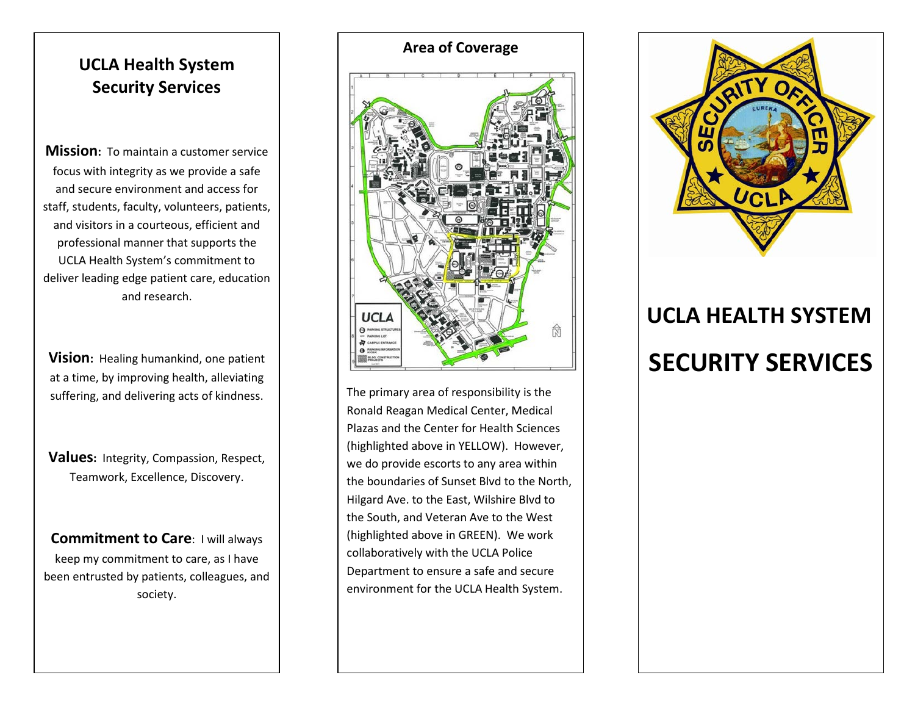## **UCLA Health System Security Services**

**Mission:** To maintain a customer service focus with integrity as we provide a safe and secure environment and access for staff, students, faculty, volunteers, patients, and visitors in a courteous, efficient and professional manner that supports the UCLA Health System's commitment to deliver leading edge patient care, education and research.

**Vision:** Healing humankind, one patient at a time, by improving health, alleviating suffering, and delivering acts of kindness.

**Values:** Integrity, Compassion, Respect, Teamwork, Excellence, Discovery.

**Commitment to Care**: I will always keep my commitment to care, as I have been entrusted by patients, colleagues, and society.





The primary area of responsibility is the Ronald Reagan Medical Center, Medical Plazas and the Center for Health Sciences (highlighted above in YELLOW). However, we do provide escorts to any area within the boundaries of Sunset Blvd to the North, Hilgard Ave. to the East, Wilshire Blvd to the South, and Veteran Ave to the West (highlighted above in GREEN). We work collaboratively with the UCLA Police Department to ensure a safe and secure environment for the UCLA Health System.



# **UCLA HEALTH SYSTEM SECURITY SERVICES**